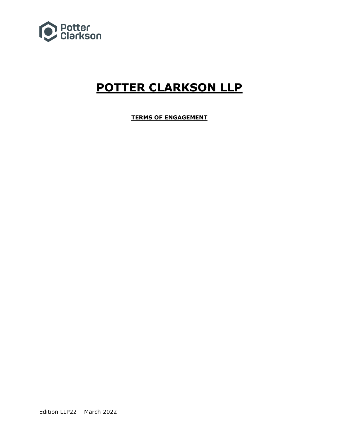

# **POTTER CLARKSON LLP**

**TERMS OF ENGAGEMENT**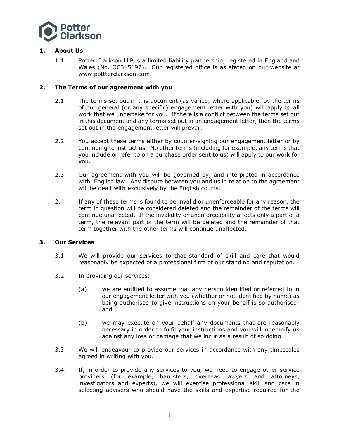

# **1. About Us**

1.1. Potter Clarkson LLP is a limited liability partnership, registered in England and Wales (No. OC315197). Our registered office is as stated on our website at www.pottterclarkson.com.

# **2. The Terms of our agreement with you**

- 2.1. The terms set out in this document (as varied, where applicable, by the terms of our general (or any specific) engagement letter with you) will apply to all work that we undertake for you. If there is a conflict between the terms set out in this document and any terms set out in an engagement letter, then the terms set out in the engagement letter will prevail.
- 2.2. You accept these terms either by counter-signing our engagement letter or by continuing to instruct us. No other terms (including for example, any terms that you include or refer to on a purchase order sent to us) will apply to our work for you.
- 2.3. Our agreement with you will be governed by, and interpreted in accordance with, English law. Any dispute between you and us in relation to the agreement will be dealt with exclusively by the English courts.
- 2.4. If any of these terms is found to be invalid or unenforceable for any reason, the term in question will be considered deleted and the remainder of the terms will continue unaffected. If the invalidity or unenforceability affects only a part of a term, the relevant part of the term will be deleted and the remainder of that term together with the other terms will continue unaffected.

# **3. Our Services**

- 3.1. We will provide our services to that standard of skill and care that would reasonably be expected of a professional firm of our standing and reputation.
- 3.2. In providing our services:
	- (a) we are entitled to assume that any person identified or referred to in our engagement letter with you (whether or not identified by name) as being authorised to give instructions on your behalf is so authorised; and
	- (b) we may execute on your behalf any documents that are reasonably necessary in order to fulfil your instructions and you will indemnify us against any loss or damage that we incur as a result of so doing.
- 3.3. We will endeavour to provide our services in accordance with any timescales agreed in writing with you.
- 3.4. If, in order to provide any services to you, we need to engage other service providers (for example, barristers, overseas lawyers and attorneys, investigators and experts), we will exercise professional skill and care in selecting advisers who should have the skills and expertise required for the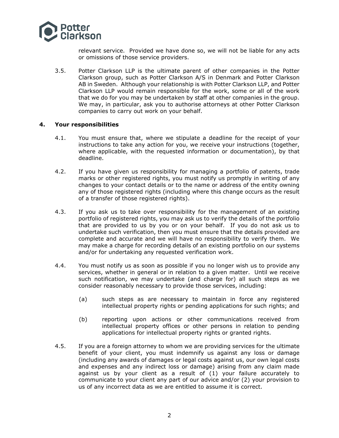

relevant service. Provided we have done so, we will not be liable for any acts or omissions of those service providers.

3.5. Potter Clarkson LLP is the ultimate parent of other companies in the Potter Clarkson group, such as Potter Clarkson A/S in Denmark and Potter Clarkson AB in Sweden. Although your relationship is with Potter Clarkson LLP, and Potter Clarkson LLP would remain responsible for the work, some or all of the work that we do for you may be undertaken by staff at other companies in the group. We may, in particular, ask you to authorise attorneys at other Potter Clarkson companies to carry out work on your behalf.

#### **4. Your responsibilities**

- 4.1. You must ensure that, where we stipulate a deadline for the receipt of your instructions to take any action for you, we receive your instructions (together, where applicable, with the requested information or documentation), by that deadline.
- 4.2. If you have given us responsibility for managing a portfolio of patents, trade marks or other registered rights, you must notify us promptly in writing of any changes to your contact details or to the name or address of the entity owning any of those registered rights (including where this change occurs as the result of a transfer of those registered rights).
- 4.3. If you ask us to take over responsibility for the management of an existing portfolio of registered rights, you may ask us to verify the details of the portfolio that are provided to us by you or on your behalf. If you do not ask us to undertake such verification, then you must ensure that the details provided are complete and accurate and we will have no responsibility to verify them. We may make a charge for recording details of an existing portfolio on our systems and/or for undertaking any requested verification work.
- 4.4. You must notify us as soon as possible if you no longer wish us to provide any services, whether in general or in relation to a given matter. Until we receive such notification, we may undertake (and charge for) all such steps as we consider reasonably necessary to provide those services, including:
	- (a) such steps as are necessary to maintain in force any registered intellectual property rights or pending applications for such rights; and
	- (b) reporting upon actions or other communications received from intellectual property offices or other persons in relation to pending applications for intellectual property rights or granted rights.
- 4.5. If you are a foreign attorney to whom we are providing services for the ultimate benefit of your client, you must indemnify us against any loss or damage (including any awards of damages or legal costs against us, our own legal costs and expenses and any indirect loss or damage) arising from any claim made against us by your client as a result of (1) your failure accurately to communicate to your client any part of our advice and/or (2) your provision to us of any incorrect data as we are entitled to assume it is correct.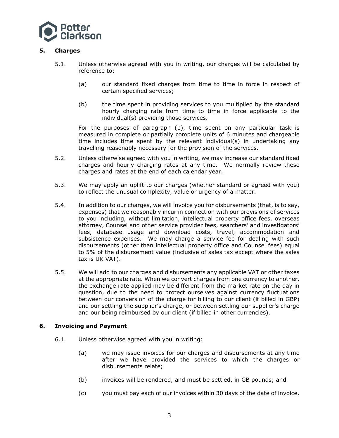

# **5. Charges**

- 5.1. Unless otherwise agreed with you in writing, our charges will be calculated by reference to:
	- (a) our standard fixed charges from time to time in force in respect of certain specified services;
	- (b) the time spent in providing services to you multiplied by the standard hourly charging rate from time to time in force applicable to the individual(s) providing those services.

For the purposes of paragraph (b), time spent on any particular task is measured in complete or partially complete units of 6 minutes and chargeable time includes time spent by the relevant individual(s) in undertaking any travelling reasonably necessary for the provision of the services.

- 5.2. Unless otherwise agreed with you in writing, we may increase our standard fixed charges and hourly charging rates at any time. We normally review these charges and rates at the end of each calendar year.
- 5.3. We may apply an uplift to our charges (whether standard or agreed with you) to reflect the unusual complexity, value or urgency of a matter.
- 5.4. In addition to our charges, we will invoice you for disbursements (that, is to say, expenses) that we reasonably incur in connection with our provisions of services to you including, without limitation, intellectual property office fees, overseas attorney, Counsel and other service provider fees, searchers' and investigators' fees, database usage and download costs, travel, accommodation and subsistence expenses. We may charge a service fee for dealing with such disbursements (other than intellectual property office and Counsel fees) equal to 5% of the disbursement value (inclusive of sales tax except where the sales tax is UK VAT).
- 5.5. We will add to our charges and disbursements any applicable VAT or other taxes at the appropriate rate. When we convert charges from one currency to another, the exchange rate applied may be different from the market rate on the day in question, due to the need to protect ourselves against currency fluctuations between our conversion of the charge for billing to our client (if billed in GBP) and our settling the supplier's charge, or between settling our supplier's charge and our being reimbursed by our client (if billed in other currencies).

# **6. Invoicing and Payment**

- 6.1. Unless otherwise agreed with you in writing:
	- (a) we may issue invoices for our charges and disbursements at any time after we have provided the services to which the charges or disbursements relate;
	- (b) invoices will be rendered, and must be settled, in GB pounds; and
	- (c) you must pay each of our invoices within 30 days of the date of invoice.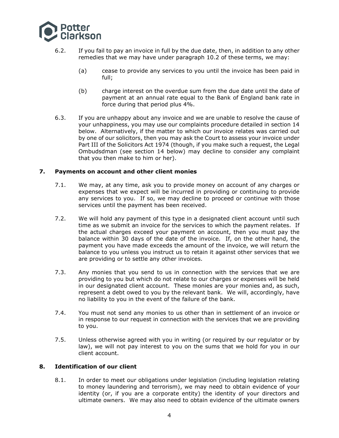

- 6.2. If you fail to pay an invoice in full by the due date, then, in addition to any other remedies that we may have under paragraph 10.2 of these terms, we may:
	- (a) cease to provide any services to you until the invoice has been paid in full;
	- (b) charge interest on the overdue sum from the due date until the date of payment at an annual rate equal to the Bank of England bank rate in force during that period plus 4%.
- 6.3. If you are unhappy about any invoice and we are unable to resolve the cause of your unhappiness, you may use our complaints procedure detailed in section 14 below. Alternatively, if the matter to which our invoice relates was carried out by one of our solicitors, then you may ask the Court to assess your invoice under Part III of the Solicitors Act 1974 (though, if you make such a request, the Legal Ombudsdman (see section 14 below) may decline to consider any complaint that you then make to him or her).

# **7. Payments on account and other client monies**

- 7.1. We may, at any time, ask you to provide money on account of any charges or expenses that we expect will be incurred in providing or continuing to provide any services to you. If so, we may decline to proceed or continue with those services until the payment has been received.
- 7.2. We will hold any payment of this type in a designated client account until such time as we submit an invoice for the services to which the payment relates. If the actual charges exceed your payment on account, then you must pay the balance within 30 days of the date of the invoice. If, on the other hand, the payment you have made exceeds the amount of the invoice, we will return the balance to you unless you instruct us to retain it against other services that we are providing or to settle any other invoices.
- 7.3. Any monies that you send to us in connection with the services that we are providing to you but which do not relate to our charges or expenses will be held in our designated client account. These monies are your monies and, as such, represent a debt owed to you by the relevant bank. We will, accordingly, have no liability to you in the event of the failure of the bank.
- 7.4. You must not send any monies to us other than in settlement of an invoice or in response to our request in connection with the services that we are providing to you.
- 7.5. Unless otherwise agreed with you in writing (or required by our regulator or by law), we will not pay interest to you on the sums that we hold for you in our client account.

# **8. Identification of our client**

8.1. In order to meet our obligations under legislation (including legislation relating to money laundering and terrorism), we may need to obtain evidence of your identity (or, if you are a corporate entity) the identity of your directors and ultimate owners. We may also need to obtain evidence of the ultimate owners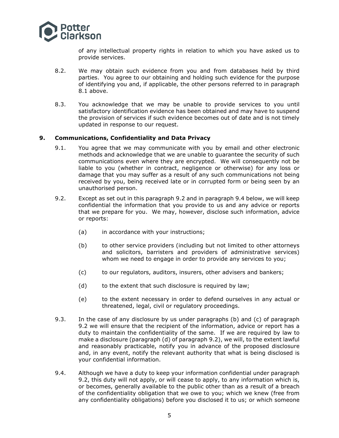

of any intellectual property rights in relation to which you have asked us to provide services.

- 8.2. We may obtain such evidence from you and from databases held by third parties. You agree to our obtaining and holding such evidence for the purpose of identifying you and, if applicable, the other persons referred to in paragraph 8.1 above.
- 8.3. You acknowledge that we may be unable to provide services to you until satisfactory identification evidence has been obtained and may have to suspend the provision of services if such evidence becomes out of date and is not timely updated in response to our request.

#### **9. Communications, Confidentiality and Data Privacy**

- 9.1. You agree that we may communicate with you by email and other electronic methods and acknowledge that we are unable to guarantee the security of such communications even where they are encrypted. We will consequently not be liable to you (whether in contract, negligence or otherwise) for any loss or damage that you may suffer as a result of any such communications not being received by you, being received late or in corrupted form or being seen by an unauthorised person.
- 9.2. Except as set out in this paragraph 9.2 and in paragraph 9.4 below, we will keep confidential the information that you provide to us and any advice or reports that we prepare for you. We may, however, disclose such information, advice or reports:
	- (a) in accordance with your instructions;
	- (b) to other service providers (including but not limited to other attorneys and solicitors, barristers and providers of administrative services) whom we need to engage in order to provide any services to you;
	- (c) to our regulators, auditors, insurers, other advisers and bankers;
	- (d) to the extent that such disclosure is required by law;
	- (e) to the extent necessary in order to defend ourselves in any actual or threatened, legal, civil or regulatory proceedings.
- 9.3. In the case of any disclosure by us under paragraphs (b) and (c) of paragraph 9.2 we will ensure that the recipient of the information, advice or report has a duty to maintain the confidentiality of the same. If we are required by law to make a disclosure (paragraph (d) of paragraph 9.2), we will, to the extent lawful and reasonably practicable, notify you in advance of the proposed disclosure and, in any event, notify the relevant authority that what is being disclosed is your confidential information.
- 9.4. Although we have a duty to keep your information confidential under paragraph 9.2, this duty will not apply, or will cease to apply, to any information which is, or becomes, generally available to the public other than as a result of a breach of the confidentiality obligation that we owe to you; which we knew (free from any confidentiality obligations) before you disclosed it to us; or which someone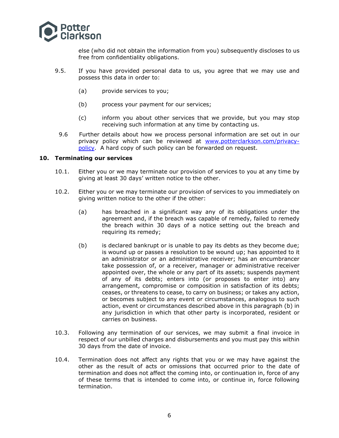

else (who did not obtain the information from you) subsequently discloses to us free from confidentiality obligations.

- 9.5. If you have provided personal data to us, you agree that we may use and possess this data in order to:
	- (a) provide services to you;
	- (b) process your payment for our services;
	- (c) inform you about other services that we provide, but you may stop receiving such information at any time by contacting us.
	- 9.6 Further details about how we process personal information are set out in our privacy policy which can be reviewed at [www.potterclarkson.com/privacy](https://www.potterclarkson.com/privacy-policy/)[policy.](https://www.potterclarkson.com/privacy-policy/) A hard copy of such policy can be forwarded on request.

#### **10. Terminating our services**

- 10.1. Either you or we may terminate our provision of services to you at any time by giving at least 30 days' written notice to the other.
- 10.2. Either you or we may terminate our provision of services to you immediately on giving written notice to the other if the other:
	- (a) has breached in a significant way any of its obligations under the agreement and, if the breach was capable of remedy, failed to remedy the breach within 30 days of a notice setting out the breach and requiring its remedy;
	- (b) is declared bankrupt or is unable to pay its debts as they become due; is wound up or passes a resolution to be wound up; has appointed to it an administrator or an administrative receiver; has an encumbrancer take possession of, or a receiver, manager or administrative receiver appointed over, the whole or any part of its assets; suspends payment of any of its debts; enters into (or proposes to enter into) any arrangement, compromise or composition in satisfaction of its debts; ceases, or threatens to cease, to carry on business; or takes any action, or becomes subject to any event or circumstances, analogous to such action, event or circumstances described above in this paragraph (b) in any jurisdiction in which that other party is incorporated, resident or carries on business.
- 10.3. Following any termination of our services, we may submit a final invoice in respect of our unbilled charges and disbursements and you must pay this within 30 days from the date of invoice.
- 10.4. Termination does not affect any rights that you or we may have against the other as the result of acts or omissions that occurred prior to the date of termination and does not affect the coming into, or continuation in, force of any of these terms that is intended to come into, or continue in, force following termination.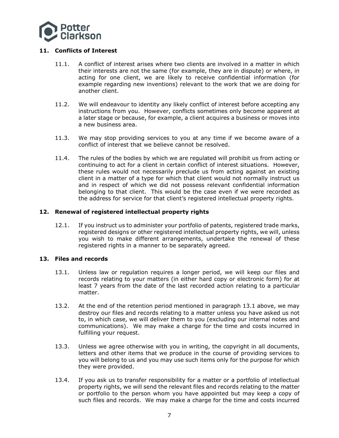

# **11. Conflicts of Interest**

- 11.1. A conflict of interest arises where two clients are involved in a matter in which their interests are not the same (for example, they are in dispute) or where, in acting for one client, we are likely to receive confidential information (for example regarding new inventions) relevant to the work that we are doing for another client.
- 11.2. We will endeavour to identity any likely conflict of interest before accepting any instructions from you. However, conflicts sometimes only become apparent at a later stage or because, for example, a client acquires a business or moves into a new business area.
- 11.3. We may stop providing services to you at any time if we become aware of a conflict of interest that we believe cannot be resolved.
- 11.4. The rules of the bodies by which we are regulated will prohibit us from acting or continuing to act for a client in certain conflict of interest situations. However, these rules would not necessarily preclude us from acting against an existing client in a matter of a type for which that client would not normally instruct us and in respect of which we did not possess relevant confidential information belonging to that client. This would be the case even if we were recorded as the address for service for that client's registered intellectual property rights.

# **12. Renewal of registered intellectual property rights**

12.1. If you instruct us to administer your portfolio of patents, registered trade marks, registered designs or other registered intellectual property rights, we will, unless you wish to make different arrangements, undertake the renewal of these registered rights in a manner to be separately agreed.

# **13. Files and records**

- 13.1. Unless law or regulation requires a longer period, we will keep our files and records relating to your matters (in either hard copy or electronic form) for at least 7 years from the date of the last recorded action relating to a particular matter.
- 13.2. At the end of the retention period mentioned in paragraph 13.1 above, we may destroy our files and records relating to a matter unless you have asked us not to, in which case, we will deliver them to you (excluding our internal notes and communications). We may make a charge for the time and costs incurred in fulfilling your request.
- 13.3. Unless we agree otherwise with you in writing, the copyright in all documents, letters and other items that we produce in the course of providing services to you will belong to us and you may use such items only for the purpose for which they were provided.
- 13.4. If you ask us to transfer responsibility for a matter or a portfolio of intellectual property rights, we will send the relevant files and records relating to the matter or portfolio to the person whom you have appointed but may keep a copy of such files and records. We may make a charge for the time and costs incurred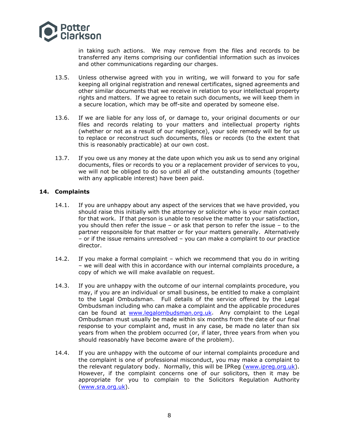

in taking such actions. We may remove from the files and records to be transferred any items comprising our confidential information such as invoices and other communications regarding our charges.

- 13.5. Unless otherwise agreed with you in writing, we will forward to you for safe keeping all original registration and renewal certificates, signed agreements and other similar documents that we receive in relation to your intellectual property rights and matters. If we agree to retain such documents, we will keep them in a secure location, which may be off-site and operated by someone else.
- 13.6. If we are liable for any loss of, or damage to, your original documents or our files and records relating to your matters and intellectual property rights (whether or not as a result of our negligence), your sole remedy will be for us to replace or reconstruct such documents, files or records (to the extent that this is reasonably practicable) at our own cost.
- 13.7. If you owe us any money at the date upon which you ask us to send any original documents, files or records to you or a replacement provider of services to you, we will not be obliged to do so until all of the outstanding amounts (together with any applicable interest) have been paid.

# **14. Complaints**

- 14.1. If you are unhappy about any aspect of the services that we have provided, you should raise this initially with the attorney or solicitor who is your main contact for that work. If that person is unable to resolve the matter to your satisfaction, you should then refer the issue – or ask that person to refer the issue – to the partner responsible for that matter or for your matters generally. Alternatively – or if the issue remains unresolved – you can make a complaint to our practice director.
- 14.2. If you make a formal complaint which we recommend that you do in writing – we will deal with this in accordance with our internal complaints procedure, a copy of which we will make available on request.
- 14.3. If you are unhappy with the outcome of our internal complaints procedure, you may, if you are an individual or small business, be entitled to make a complaint to the Legal Ombudsman. Full details of the service offered by the Legal Ombudsman including who can make a complaint and the applicable procedures can be found at [www.legalombudsman.org.uk.](http://www.legalombudsman.org.uk/) Any complaint to the Legal Ombudsman must usually be made within six months from the date of our final response to your complaint and, must in any case, be made no later than six years from when the problem occurred (or, if later, three years from when you should reasonably have become aware of the problem).
- 14.4. If you are unhappy with the outcome of our internal complaints procedure and the complaint is one of professional misconduct, you may make a complaint to the relevant regulatory body. Normally, this will be IPReg [\(www.ipreg.org.uk\)](http://www.ipreg.org.uk/). However, if the complaint concerns one of our solicitors, then it may be appropriate for you to complain to the Solicitors Regulation Authority [\(www.sra.org.uk\)](http://www.sra.org.uk/).